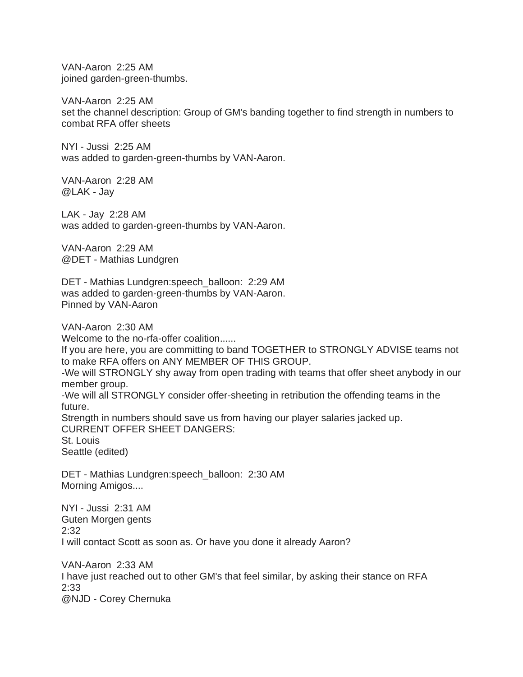VAN-Aaron 2:25 AM joined garden-green-thumbs.

VAN-Aaron 2:25 AM set the channel description: Group of GM's banding together to find strength in numbers to combat RFA offer sheets

NYI - Jussi 2:25 AM was added to garden-green-thumbs by VAN-Aaron.

VAN-Aaron 2:28 AM @LAK - Jay

LAK - Jay 2:28 AM was added to garden-green-thumbs by VAN-Aaron.

VAN-Aaron 2:29 AM @DET - Mathias Lundgren

DET - Mathias Lundgren:speech\_balloon: 2:29 AM was added to garden-green-thumbs by VAN-Aaron. Pinned by VAN-Aaron

VAN-Aaron 2:30 AM

Welcome to the no-rfa-offer coalition......

If you are here, you are committing to band TOGETHER to STRONGLY ADVISE teams not to make RFA offers on ANY MEMBER OF THIS GROUP.

-We will STRONGLY shy away from open trading with teams that offer sheet anybody in our member group.

-We will all STRONGLY consider offer-sheeting in retribution the offending teams in the future.

Strength in numbers should save us from having our player salaries jacked up. CURRENT OFFER SHEET DANGERS:

St. Louis Seattle (edited)

DET - Mathias Lundgren:speech\_balloon: 2:30 AM Morning Amigos....

NYI - Jussi 2:31 AM Guten Morgen gents 2:32 I will contact Scott as soon as. Or have you done it already Aaron?

VAN-Aaron 2:33 AM I have just reached out to other GM's that feel similar, by asking their stance on RFA 2:33 @NJD - Corey Chernuka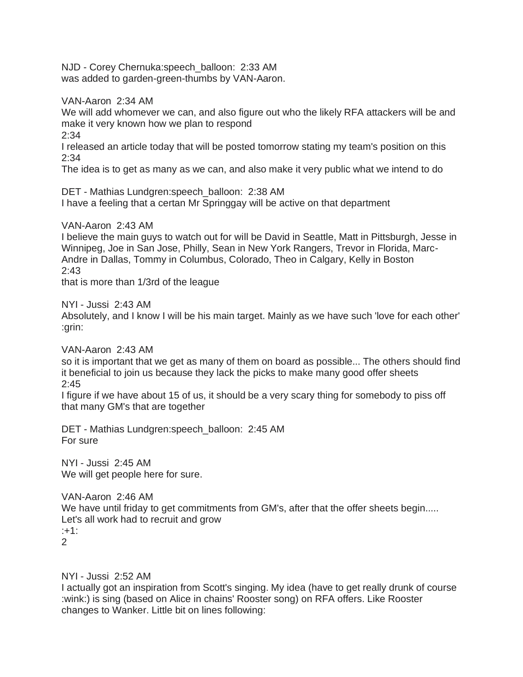NJD - Corey Chernuka:speech\_balloon: 2:33 AM was added to garden-green-thumbs by VAN-Aaron.

VAN-Aaron 2:34 AM

We will add whomever we can, and also figure out who the likely RFA attackers will be and make it very known how we plan to respond

2:34

I released an article today that will be posted tomorrow stating my team's position on this 2:34

The idea is to get as many as we can, and also make it very public what we intend to do

DET - Mathias Lundgren:speech\_balloon: 2:38 AM I have a feeling that a certan Mr Springgay will be active on that department

VAN-Aaron 2:43 AM

I believe the main guys to watch out for will be David in Seattle, Matt in Pittsburgh, Jesse in Winnipeg, Joe in San Jose, Philly, Sean in New York Rangers, Trevor in Florida, Marc-Andre in Dallas, Tommy in Columbus, Colorado, Theo in Calgary, Kelly in Boston 2:43

that is more than 1/3rd of the league

NYI - Jussi 2:43 AM

Absolutely, and I know I will be his main target. Mainly as we have such 'love for each other' :grin:

VAN-Aaron 2:43 AM

so it is important that we get as many of them on board as possible... The others should find it beneficial to join us because they lack the picks to make many good offer sheets  $2:45$ 

I figure if we have about 15 of us, it should be a very scary thing for somebody to piss off that many GM's that are together

DET - Mathias Lundgren:speech\_balloon: 2:45 AM For sure

NYI - Jussi 2:45 AM We will get people here for sure.

VAN-Aaron 2:46 AM We have until friday to get commitments from GM's, after that the offer sheets begin..... Let's all work had to recruit and grow :+1: 2

NYI - Jussi 2:52 AM

I actually got an inspiration from Scott's singing. My idea (have to get really drunk of course :wink:) is sing (based on Alice in chains' Rooster song) on RFA offers. Like Rooster changes to Wanker. Little bit on lines following: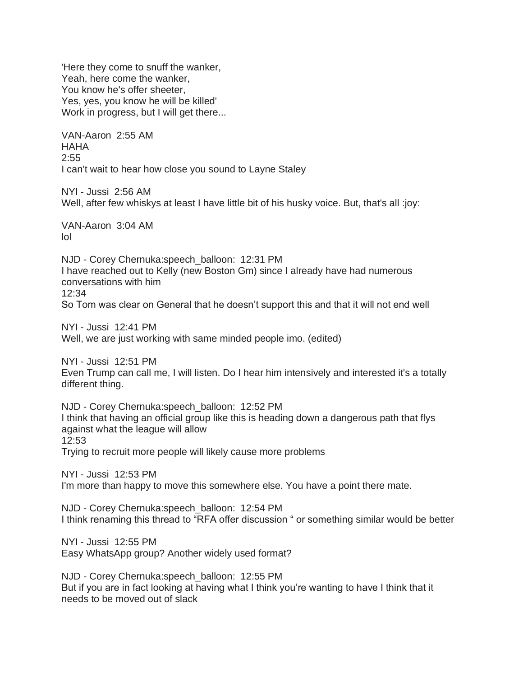'Here they come to snuff the wanker, Yeah, here come the wanker, You know he's offer sheeter, Yes, yes, you know he will be killed' Work in progress, but I will get there...

VAN-Aaron 2:55 AM HAHA 2:55 I can't wait to hear how close you sound to Layne Staley

NYI - Jussi 2:56 AM Well, after few whiskys at least I have little bit of his husky voice. But, that's all :joy:

VAN-Aaron 3:04 AM lol

NJD - Corey Chernuka:speech\_balloon: 12:31 PM I have reached out to Kelly (new Boston Gm) since I already have had numerous conversations with him 12:34 So Tom was clear on General that he doesn't support this and that it will not end well

NYI - Jussi 12:41 PM Well, we are just working with same minded people imo. (edited)

NYI - Jussi 12:51 PM Even Trump can call me, I will listen. Do I hear him intensively and interested it's a totally different thing.

NJD - Corey Chernuka:speech\_balloon: 12:52 PM I think that having an official group like this is heading down a dangerous path that flys against what the league will allow 12:53 Trying to recruit more people will likely cause more problems

NYI - Jussi 12:53 PM I'm more than happy to move this somewhere else. You have a point there mate.

NJD - Corey Chernuka:speech\_balloon: 12:54 PM I think renaming this thread to "RFA offer discussion " or something similar would be better

NYI - Jussi 12:55 PM Easy WhatsApp group? Another widely used format?

NJD - Corey Chernuka:speech\_balloon: 12:55 PM But if you are in fact looking at having what I think you're wanting to have I think that it needs to be moved out of slack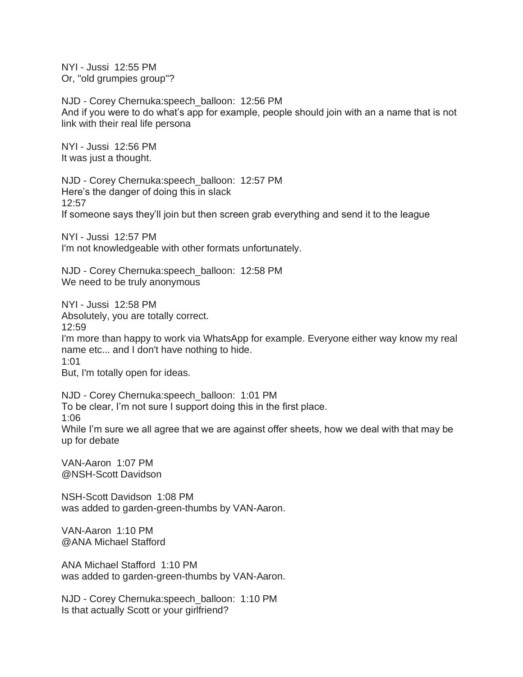NYI - Jussi 12:55 PM Or, "old grumpies group"?

NJD - Corey Chernuka:speech\_balloon: 12:56 PM And if you were to do what's app for example, people should join with an a name that is not link with their real life persona

NYI - Jussi 12:56 PM It was just a thought.

NJD - Corey Chernuka:speech\_balloon: 12:57 PM Here's the danger of doing this in slack 12:57 If someone says they'll join but then screen grab everything and send it to the league

NYI - Jussi 12:57 PM I'm not knowledgeable with other formats unfortunately.

NJD - Corey Chernuka:speech\_balloon: 12:58 PM We need to be truly anonymous

NYI - Jussi 12:58 PM Absolutely, you are totally correct. 12:59 I'm more than happy to work via WhatsApp for example. Everyone either way know my real name etc... and I don't have nothing to hide. 1:01 But, I'm totally open for ideas.

NJD - Corey Chernuka:speech\_balloon: 1:01 PM To be clear, I'm not sure I support doing this in the first place. 1:06 While I'm sure we all agree that we are against offer sheets, how we deal with that may be up for debate

VAN-Aaron 1:07 PM @NSH-Scott Davidson

NSH-Scott Davidson 1:08 PM was added to garden-green-thumbs by VAN-Aaron.

VAN-Aaron 1:10 PM @ANA Michael Stafford

ANA Michael Stafford 1:10 PM was added to garden-green-thumbs by VAN-Aaron.

NJD - Corey Chernuka:speech\_balloon: 1:10 PM Is that actually Scott or your girlfriend?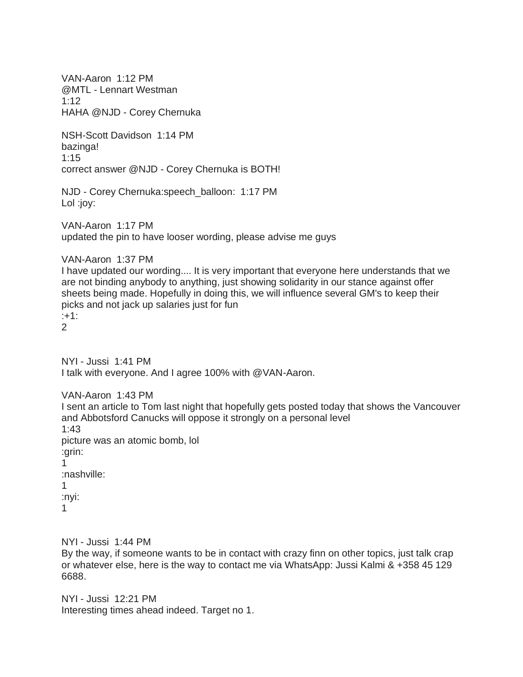VAN-Aaron 1:12 PM @MTL - Lennart Westman 1:12 HAHA @NJD - Corey Chernuka

NSH-Scott Davidson 1:14 PM bazinga! 1:15 correct answer @NJD - Corey Chernuka is BOTH!

NJD - Corey Chernuka:speech\_balloon: 1:17 PM Lol :joy:

VAN-Aaron 1:17 PM updated the pin to have looser wording, please advise me guys

VAN-Aaron 1:37 PM

I have updated our wording.... It is very important that everyone here understands that we are not binding anybody to anything, just showing solidarity in our stance against offer sheets being made. Hopefully in doing this, we will influence several GM's to keep their picks and not jack up salaries just for fun :+1:

2

NYI - Jussi 1:41 PM I talk with everyone. And I agree 100% with @VAN-Aaron.

VAN-Aaron 1:43 PM I sent an article to Tom last night that hopefully gets posted today that shows the Vancouver and Abbotsford Canucks will oppose it strongly on a personal level 1:43 picture was an atomic bomb, lol :grin: 1 :nashville: 1 :nyi:

1

NYI - Jussi 1:44 PM

By the way, if someone wants to be in contact with crazy finn on other topics, just talk crap or whatever else, here is the way to contact me via WhatsApp: Jussi Kalmi & +358 45 129 6688.

NYI - Jussi 12:21 PM Interesting times ahead indeed. Target no 1.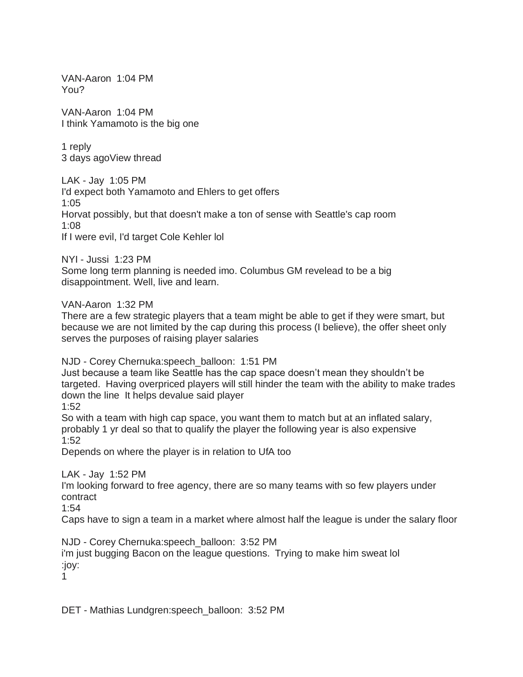VAN-Aaron 1:04 PM You?

VAN-Aaron 1:04 PM I think Yamamoto is the big one

1 reply 3 days agoView thread

LAK - Jay 1:05 PM I'd expect both Yamamoto and Ehlers to get offers 1:05 Horvat possibly, but that doesn't make a ton of sense with Seattle's cap room 1:08 If I were evil, I'd target Cole Kehler lol

NYI - Jussi 1:23 PM Some long term planning is needed imo. Columbus GM revelead to be a big disappointment. Well, live and learn.

VAN-Aaron 1:32 PM

There are a few strategic players that a team might be able to get if they were smart, but because we are not limited by the cap during this process (I believe), the offer sheet only serves the purposes of raising player salaries

NJD - Corey Chernuka:speech\_balloon: 1:51 PM

Just because a team like Seattle has the cap space doesn't mean they shouldn't be targeted. Having overpriced players will still hinder the team with the ability to make trades down the line It helps devalue said player

1:52

So with a team with high cap space, you want them to match but at an inflated salary, probably 1 yr deal so that to qualify the player the following year is also expensive 1:52

Depends on where the player is in relation to UfA too

LAK - Jay 1:52 PM

I'm looking forward to free agency, there are so many teams with so few players under contract

1:54

Caps have to sign a team in a market where almost half the league is under the salary floor

NJD - Corey Chernuka:speech\_balloon: 3:52 PM

i'm just bugging Bacon on the league questions. Trying to make him sweat lol :joy:

1

DET - Mathias Lundgren:speech\_balloon: 3:52 PM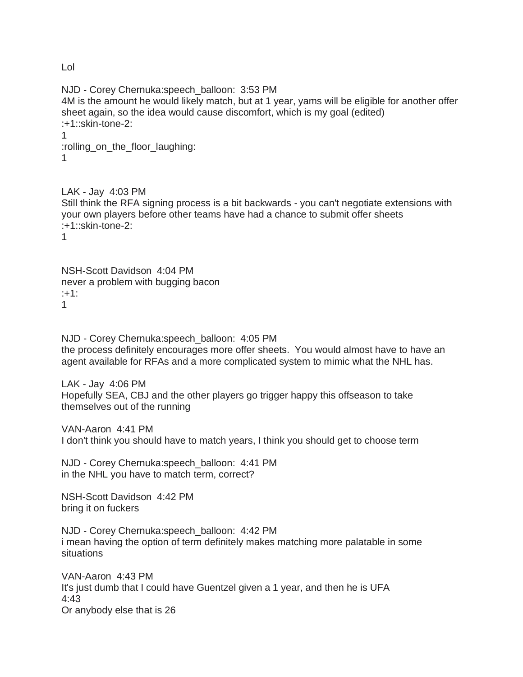Lol

NJD - Corey Chernuka:speech\_balloon: 3:53 PM 4M is the amount he would likely match, but at 1 year, yams will be eligible for another offer sheet again, so the idea would cause discomfort, which is my goal (edited) :+1::skin-tone-2: 1 :rolling\_on\_the\_floor\_laughing: 1

LAK - Jay 4:03 PM Still think the RFA signing process is a bit backwards - you can't negotiate extensions with your own players before other teams have had a chance to submit offer sheets :+1::skin-tone-2: 1

NSH-Scott Davidson 4:04 PM never a problem with bugging bacon :+1: 1

NJD - Corey Chernuka:speech\_balloon: 4:05 PM the process definitely encourages more offer sheets. You would almost have to have an agent available for RFAs and a more complicated system to mimic what the NHL has.

LAK - Jay 4:06 PM Hopefully SEA, CBJ and the other players go trigger happy this offseason to take themselves out of the running

VAN-Aaron 4:41 PM I don't think you should have to match years, I think you should get to choose term

NJD - Corey Chernuka:speech\_balloon: 4:41 PM in the NHL you have to match term, correct?

NSH-Scott Davidson 4:42 PM bring it on fuckers

NJD - Corey Chernuka:speech\_balloon: 4:42 PM i mean having the option of term definitely makes matching more palatable in some situations

VAN-Aaron 4:43 PM It's just dumb that I could have Guentzel given a 1 year, and then he is UFA 4:43 Or anybody else that is 26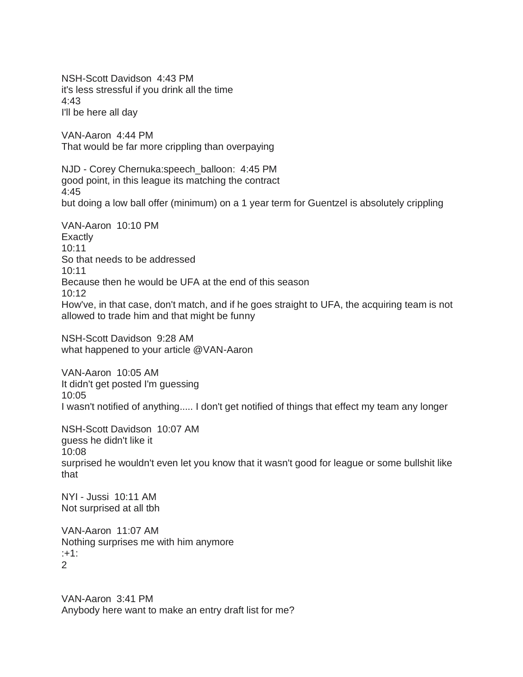NSH-Scott Davidson 4:43 PM it's less stressful if you drink all the time 4:43 I'll be here all day VAN-Aaron 4:44 PM That would be far more crippling than overpaying NJD - Corey Chernuka:speech\_balloon: 4:45 PM good point, in this league its matching the contract 4:45 but doing a low ball offer (minimum) on a 1 year term for Guentzel is absolutely crippling VAN-Aaron 10:10 PM Exactly 10:11 So that needs to be addressed  $10:11$ Because then he would be UFA at the end of this season 10:12 How've, in that case, don't match, and if he goes straight to UFA, the acquiring team is not allowed to trade him and that might be funny NSH-Scott Davidson 9:28 AM what happened to your article @VAN-Aaron VAN-Aaron 10:05 AM It didn't get posted I'm guessing 10:05 I wasn't notified of anything..... I don't get notified of things that effect my team any longer NSH-Scott Davidson 10:07 AM guess he didn't like it 10:08 surprised he wouldn't even let you know that it wasn't good for league or some bullshit like that NYI - Jussi 10:11 AM Not surprised at all tbh VAN-Aaron 11:07 AM Nothing surprises me with him anymore

:+1:  $\mathcal{P}$ 

VAN-Aaron 3:41 PM Anybody here want to make an entry draft list for me?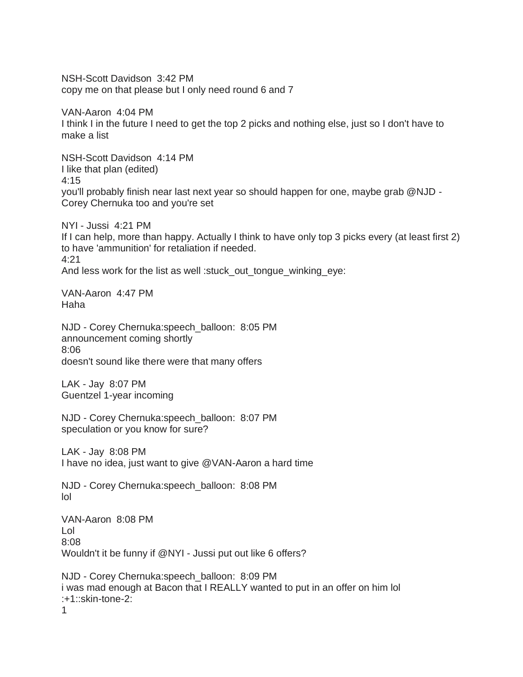NSH-Scott Davidson 3:42 PM copy me on that please but I only need round 6 and 7

VAN-Aaron 4:04 PM I think I in the future I need to get the top 2 picks and nothing else, just so I don't have to make a list

NSH-Scott Davidson 4:14 PM I like that plan (edited) 4:15 you'll probably finish near last next year so should happen for one, maybe grab @NJD - Corey Chernuka too and you're set

NYI - Jussi 4:21 PM If I can help, more than happy. Actually I think to have only top 3 picks every (at least first 2) to have 'ammunition' for retaliation if needed. 4:21 And less work for the list as well :stuck\_out\_tongue\_winking\_eye:

VAN-Aaron 4:47 PM Haha

NJD - Corey Chernuka:speech\_balloon: 8:05 PM announcement coming shortly 8:06 doesn't sound like there were that many offers

LAK - Jay 8:07 PM Guentzel 1-year incoming

NJD - Corey Chernuka:speech\_balloon: 8:07 PM speculation or you know for sure?

LAK - Jay 8:08 PM I have no idea, just want to give @VAN-Aaron a hard time

NJD - Corey Chernuka:speech\_balloon: 8:08 PM lol

VAN-Aaron 8:08 PM Lol 8:08 Wouldn't it be funny if @NYI - Jussi put out like 6 offers?

NJD - Corey Chernuka:speech\_balloon: 8:09 PM i was mad enough at Bacon that I REALLY wanted to put in an offer on him lol :+1::skin-tone-2: 1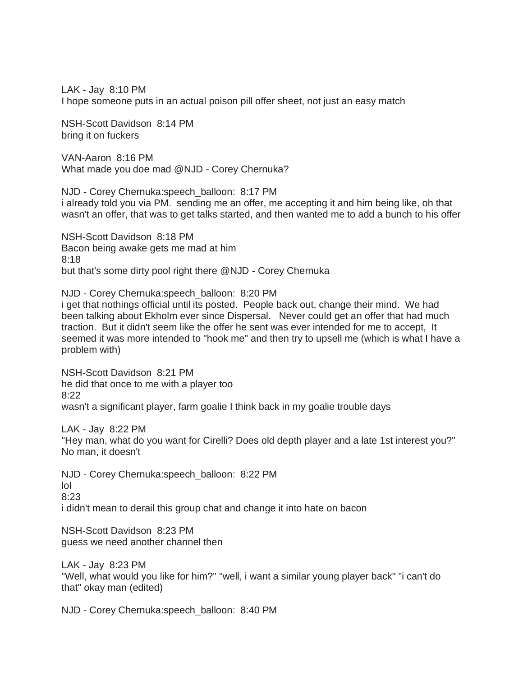LAK - Jay 8:10 PM I hope someone puts in an actual poison pill offer sheet, not just an easy match

NSH-Scott Davidson 8:14 PM bring it on fuckers

VAN-Aaron 8:16 PM What made you doe mad @NJD - Corey Chernuka?

NJD - Corey Chernuka:speech\_balloon: 8:17 PM i already told you via PM. sending me an offer, me accepting it and him being like, oh that wasn't an offer, that was to get talks started, and then wanted me to add a bunch to his offer

NSH-Scott Davidson 8:18 PM Bacon being awake gets me mad at him 8:18 but that's some dirty pool right there @NJD - Corey Chernuka

NJD - Corey Chernuka:speech\_balloon: 8:20 PM i get that nothings official until its posted. People back out, change their mind. We had been talking about Ekholm ever since Dispersal. Never could get an offer that had much traction. But it didn't seem like the offer he sent was ever intended for me to accept, It

seemed it was more intended to "hook me" and then try to upsell me (which is what I have a problem with)

NSH-Scott Davidson 8:21 PM he did that once to me with a player too 8:22 wasn't a significant player, farm goalie I think back in my goalie trouble days

LAK - Jay 8:22 PM

"Hey man, what do you want for Cirelli? Does old depth player and a late 1st interest you?" No man, it doesn't

NJD - Corey Chernuka:speech\_balloon: 8:22 PM lol 8:23 i didn't mean to derail this group chat and change it into hate on bacon

NSH-Scott Davidson 8:23 PM guess we need another channel then

LAK - Jay 8:23 PM "Well, what would you like for him?" "well, i want a similar young player back" "i can't do that" okay man (edited)

NJD - Corey Chernuka:speech\_balloon: 8:40 PM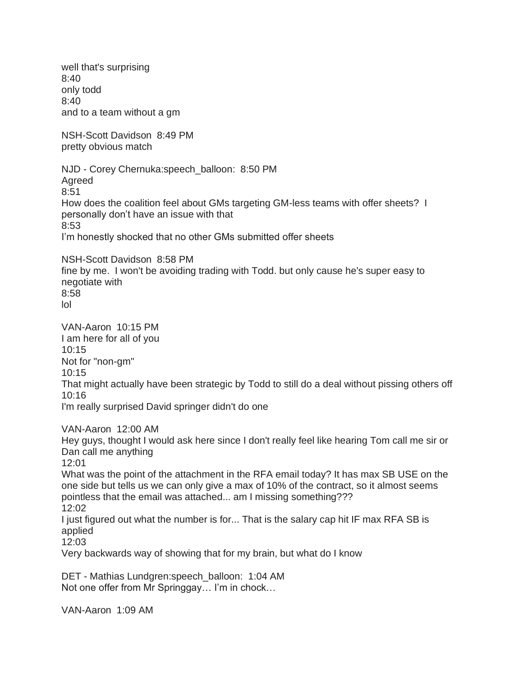well that's surprising 8:40 only todd 8:40 and to a team without a gm NSH-Scott Davidson 8:49 PM pretty obvious match NJD - Corey Chernuka:speech\_balloon: 8:50 PM Agreed 8:51 How does the coalition feel about GMs targeting GM-less teams with offer sheets? I personally don't have an issue with that 8:53 I'm honestly shocked that no other GMs submitted offer sheets NSH-Scott Davidson 8:58 PM fine by me. I won't be avoiding trading with Todd. but only cause he's super easy to negotiate with 8:58 lol VAN-Aaron 10:15 PM I am here for all of you 10:15 Not for "non-gm" 10:15 That might actually have been strategic by Todd to still do a deal without pissing others off 10:16 I'm really surprised David springer didn't do one VAN-Aaron 12:00 AM Hey guys, thought I would ask here since I don't really feel like hearing Tom call me sir or Dan call me anything 12:01 What was the point of the attachment in the RFA email today? It has max SB USE on the one side but tells us we can only give a max of 10% of the contract, so it almost seems pointless that the email was attached... am I missing something??? 12:02 I just figured out what the number is for... That is the salary cap hit IF max RFA SB is applied 12:03 Very backwards way of showing that for my brain, but what do I know

DET - Mathias Lundgren:speech\_balloon: 1:04 AM Not one offer from Mr Springgay… I'm in chock…

VAN-Aaron 1:09 AM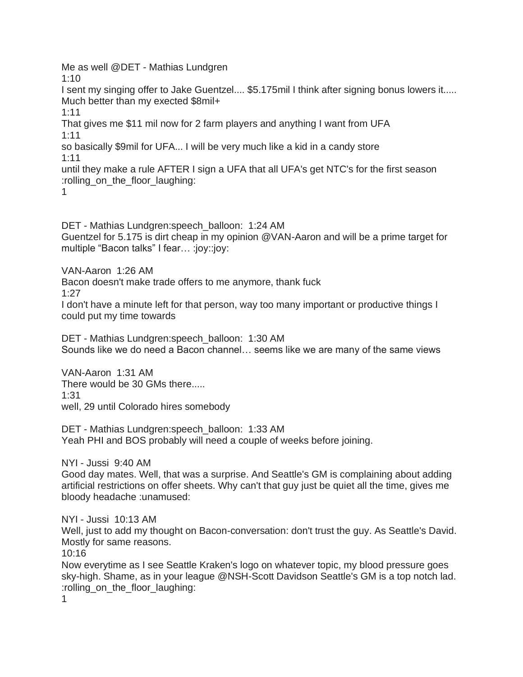Me as well @DET - Mathias Lundgren 1:10 I sent my singing offer to Jake Guentzel.... \$5.175mil I think after signing bonus lowers it..... Much better than my exected \$8mil+ 1:11 That gives me \$11 mil now for 2 farm players and anything I want from UFA 1:11 so basically \$9mil for UFA... I will be very much like a kid in a candy store 1:11 until they make a rule AFTER I sign a UFA that all UFA's get NTC's for the first season :rolling\_on\_the\_floor\_laughing: 1

DET - Mathias Lundgren:speech\_balloon: 1:24 AM Guentzel for 5.175 is dirt cheap in my opinion @VAN-Aaron and will be a prime target for multiple "Bacon talks" I fear… :joy::joy:

VAN-Aaron 1:26 AM

Bacon doesn't make trade offers to me anymore, thank fuck 1:27

I don't have a minute left for that person, way too many important or productive things I could put my time towards

DET - Mathias Lundgren:speech\_balloon: 1:30 AM Sounds like we do need a Bacon channel… seems like we are many of the same views

VAN-Aaron 1:31 AM There would be 30 GMs there..... 1:31 well, 29 until Colorado hires somebody

DET - Mathias Lundgren:speech\_balloon: 1:33 AM Yeah PHI and BOS probably will need a couple of weeks before joining.

NYI - Jussi 9:40 AM

Good day mates. Well, that was a surprise. And Seattle's GM is complaining about adding artificial restrictions on offer sheets. Why can't that guy just be quiet all the time, gives me bloody headache :unamused:

NYI - Jussi 10:13 AM

Well, just to add my thought on Bacon-conversation: don't trust the guy. As Seattle's David. Mostly for same reasons.

10:16

Now everytime as I see Seattle Kraken's logo on whatever topic, my blood pressure goes sky-high. Shame, as in your league @NSH-Scott Davidson Seattle's GM is a top notch lad. :rolling\_on\_the\_floor\_laughing:

1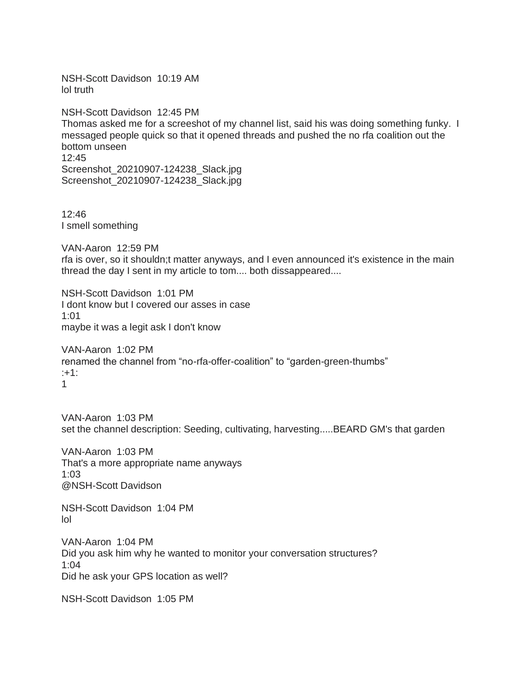NSH-Scott Davidson 10:19 AM lol truth

NSH-Scott Davidson 12:45 PM Thomas asked me for a screeshot of my channel list, said his was doing something funky. I messaged people quick so that it opened threads and pushed the no rfa coalition out the bottom unseen 12:45 Screenshot\_20210907-124238\_Slack.jpg Screenshot 20210907-124238 Slack.jpg

12:46 I smell something

VAN-Aaron 12:59 PM rfa is over, so it shouldn;t matter anyways, and I even announced it's existence in the main thread the day I sent in my article to tom.... both dissappeared....

NSH-Scott Davidson 1:01 PM I dont know but I covered our asses in case 1:01 maybe it was a legit ask I don't know

VAN-Aaron 1:02 PM renamed the channel from "no-rfa-offer-coalition" to "garden-green-thumbs" :+1: 1

VAN-Aaron 1:03 PM set the channel description: Seeding, cultivating, harvesting.....BEARD GM's that garden

VAN-Aaron 1:03 PM That's a more appropriate name anyways 1:03 @NSH-Scott Davidson

NSH-Scott Davidson 1:04 PM lol

VAN-Aaron 1:04 PM Did you ask him why he wanted to monitor your conversation structures? 1:04 Did he ask your GPS location as well?

NSH-Scott Davidson 1:05 PM